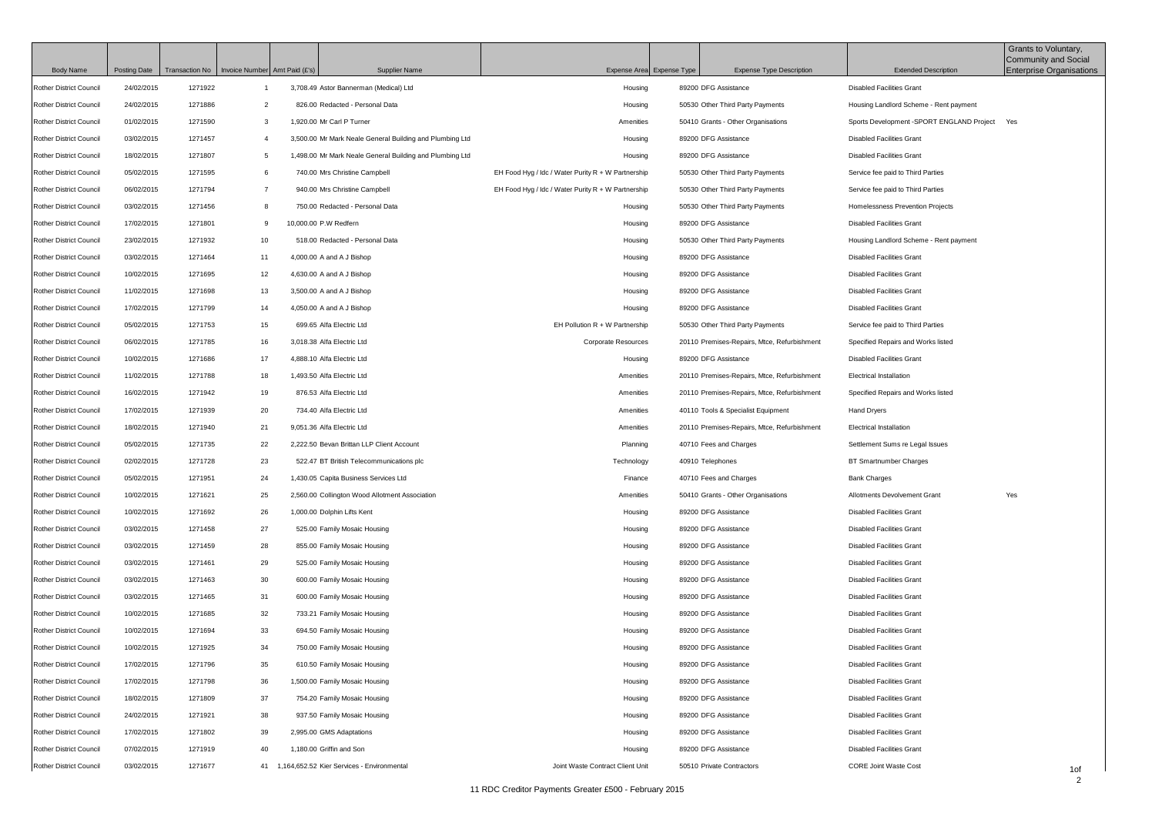| <b>Body Name</b>               | <b>Posting Date</b> | Transaction No   Invoice Number Amt Paid (£'s) |                | <b>Supplier Name</b>                                     | Expense Area Expense Type                            | <b>Expense Type Description</b>             | <b>Extended Description</b>                    | Grants to Voluntary,<br>Community and Social<br><b>Enterprise Organisations</b> |
|--------------------------------|---------------------|------------------------------------------------|----------------|----------------------------------------------------------|------------------------------------------------------|---------------------------------------------|------------------------------------------------|---------------------------------------------------------------------------------|
| <b>Rother District Council</b> | 24/02/2015          | 1271922                                        |                | 3,708.49 Astor Bannerman (Medical) Ltd                   | Housing                                              | 89200 DFG Assistance                        | <b>Disabled Facilities Grant</b>               |                                                                                 |
| <b>Rother District Council</b> | 24/02/2015          | 1271886                                        | $\overline{2}$ | 826.00 Redacted - Personal Data                          | Housing                                              | 50530 Other Third Party Payments            | Housing Landlord Scheme - Rent payment         |                                                                                 |
| <b>Rother District Council</b> | 01/02/2015          | 1271590                                        | 3              | 1,920.00 Mr Carl P Turner                                | Amenities                                            | 50410 Grants - Other Organisations          | Sports Development - SPORT ENGLAND Project Yes |                                                                                 |
| <b>Rother District Council</b> | 03/02/2015          | 1271457                                        | $\overline{4}$ | 3,500.00 Mr Mark Neale General Building and Plumbing Ltd | Housing                                              | 89200 DFG Assistance                        | <b>Disabled Facilities Grant</b>               |                                                                                 |
| <b>Rother District Council</b> | 18/02/2015          | 1271807                                        | 5              | 1,498.00 Mr Mark Neale General Building and Plumbing Ltd | Housing                                              | 89200 DFG Assistance                        | <b>Disabled Facilities Grant</b>               |                                                                                 |
| <b>Rother District Council</b> | 05/02/2015          | 1271595                                        | 6              | 740.00 Mrs Christine Campbell                            | EH Food Hyg / Idc / Water Purity $R + W$ Partnership | 50530 Other Third Party Payments            | Service fee paid to Third Parties              |                                                                                 |
| <b>Rother District Council</b> | 06/02/2015          | 1271794                                        | $\overline{7}$ | 940.00 Mrs Christine Campbell                            | EH Food Hyg / Idc / Water Purity $R + W$ Partnership | 50530 Other Third Party Payments            | Service fee paid to Third Parties              |                                                                                 |
| <b>Rother District Council</b> | 03/02/2015          | 1271456                                        | 8              | 750.00 Redacted - Personal Data                          | Housing                                              | 50530 Other Third Party Payments            | Homelessness Prevention Projects               |                                                                                 |
| <b>Rother District Council</b> | 17/02/2015          | 1271801                                        | 9              | 10,000.00 P.W Redfern                                    | Housing                                              | 89200 DFG Assistance                        | <b>Disabled Facilities Grant</b>               |                                                                                 |
| <b>Rother District Council</b> | 23/02/2015          | 1271932                                        | 10             | 518.00 Redacted - Personal Data                          | Housing                                              | 50530 Other Third Party Payments            | Housing Landlord Scheme - Rent payment         |                                                                                 |
| <b>Rother District Council</b> | 03/02/2015          | 1271464                                        | 11             | 4,000.00 A and A J Bishop                                | Housing                                              | 89200 DFG Assistance                        | <b>Disabled Facilities Grant</b>               |                                                                                 |
| <b>Rother District Council</b> | 10/02/2015          | 1271695                                        | 12             | 4,630.00 A and A J Bishop                                | Housing                                              | 89200 DFG Assistance                        | <b>Disabled Facilities Grant</b>               |                                                                                 |
| <b>Rother District Council</b> | 11/02/2015          | 1271698                                        | 13             | 3,500.00 A and A J Bishop                                | Housing                                              | 89200 DFG Assistance                        | <b>Disabled Facilities Grant</b>               |                                                                                 |
| <b>Rother District Council</b> | 17/02/2015          | 1271799                                        | 14             | 4,050.00 A and A J Bishop                                | Housing                                              | 89200 DFG Assistance                        | <b>Disabled Facilities Grant</b>               |                                                                                 |
| <b>Rother District Council</b> | 05/02/2015          | 1271753                                        | 15             | 699.65 Alfa Electric Ltd                                 | EH Pollution $R + W$ Partnership                     | 50530 Other Third Party Payments            | Service fee paid to Third Parties              |                                                                                 |
| <b>Rother District Council</b> | 06/02/2015          | 1271785                                        | 16             | 3,018.38 Alfa Electric Ltd                               | <b>Corporate Resources</b>                           | 20110 Premises-Repairs, Mtce, Refurbishment | Specified Repairs and Works listed             |                                                                                 |
| <b>Rother District Council</b> | 10/02/2015          | 1271686                                        | 17             | 4,888.10 Alfa Electric Ltd                               | Housing                                              | 89200 DFG Assistance                        | <b>Disabled Facilities Grant</b>               |                                                                                 |
| <b>Rother District Council</b> | 11/02/2015          | 1271788                                        | 18             | 1,493.50 Alfa Electric Ltd                               | Amenities                                            | 20110 Premises-Repairs, Mtce, Refurbishment | Electrical Installation                        |                                                                                 |
| <b>Rother District Council</b> | 16/02/2015          | 1271942                                        | 19             | 876.53 Alfa Electric Ltd                                 | Amenities                                            | 20110 Premises-Repairs, Mtce, Refurbishment | Specified Repairs and Works listed             |                                                                                 |
| <b>Rother District Council</b> | 17/02/2015          | 1271939                                        | 20             | 734.40 Alfa Electric Ltd                                 | Amenities                                            | 40110 Tools & Specialist Equipment          | Hand Dryers                                    |                                                                                 |
| <b>Rother District Council</b> | 18/02/2015          | 1271940                                        | 21             | 9,051.36 Alfa Electric Ltd                               | Amenities                                            | 20110 Premises-Repairs, Mtce, Refurbishment | Electrical Installation                        |                                                                                 |
| <b>Rother District Council</b> | 05/02/2015          | 1271735                                        | 22             | 2,222.50 Bevan Brittan LLP Client Account                | Planning                                             | 40710 Fees and Charges                      | Settlement Sums re Legal Issues                |                                                                                 |
| <b>Rother District Council</b> | 02/02/2015          | 1271728                                        | 23             | 522.47 BT British Telecommunications plc                 | Technology                                           | 40910 Telephones                            | <b>BT Smartnumber Charges</b>                  |                                                                                 |
| <b>Rother District Council</b> | 05/02/2015          | 1271951                                        | 24             | 1,430.05 Capita Business Services Ltd                    | Finance                                              | 40710 Fees and Charges                      | <b>Bank Charges</b>                            |                                                                                 |
| <b>Rother District Council</b> | 10/02/2015          | 1271621                                        | 25             | 2,560.00 Collington Wood Allotment Association           | Amenities                                            | 50410 Grants - Other Organisations          | Allotments Devolvement Grant                   | Yes                                                                             |
| <b>Rother District Council</b> | 10/02/2015          | 1271692                                        | 26             | 1,000.00 Dolphin Lifts Kent                              | Housing                                              | 89200 DFG Assistance                        | <b>Disabled Facilities Grant</b>               |                                                                                 |
| <b>Rother District Council</b> | 03/02/2015          | 1271458                                        | 27             | 525.00 Family Mosaic Housing                             | Housing                                              | 89200 DFG Assistance                        | <b>Disabled Facilities Grant</b>               |                                                                                 |
| <b>Rother District Council</b> | 03/02/2015          | 1271459                                        | 28             | 855.00 Family Mosaic Housing                             | Housing                                              | 89200 DFG Assistance                        | <b>Disabled Facilities Grant</b>               |                                                                                 |
| <b>Rother District Council</b> | 03/02/2015          | 1271461                                        | 29             | 525.00 Family Mosaic Housing                             | Housing                                              | 89200 DFG Assistance                        | <b>Disabled Facilities Grant</b>               |                                                                                 |
| <b>Rother District Council</b> | 03/02/2015          | 1271463                                        | 30             | 600.00 Family Mosaic Housing                             | Housing                                              | 89200 DFG Assistance                        | <b>Disabled Facilities Grant</b>               |                                                                                 |
| <b>Rother District Council</b> | 03/02/2015          | 1271465                                        | 31             | 600.00 Family Mosaic Housing                             | Housing                                              | 89200 DFG Assistance                        | <b>Disabled Facilities Grant</b>               |                                                                                 |
| <b>Rother District Council</b> | 10/02/2015          | 1271685                                        | 32             | 733.21 Family Mosaic Housing                             | Housing                                              | 89200 DFG Assistance                        | <b>Disabled Facilities Grant</b>               |                                                                                 |
| <b>Rother District Council</b> | 10/02/2015          | 1271694                                        | 33             | 694.50 Family Mosaic Housing                             | Housing                                              | 89200 DFG Assistance                        | <b>Disabled Facilities Grant</b>               |                                                                                 |
| <b>Rother District Council</b> | 10/02/2015          | 1271925                                        | 34             | 750.00 Family Mosaic Housing                             | Housing                                              | 89200 DFG Assistance                        | <b>Disabled Facilities Grant</b>               |                                                                                 |
| <b>Rother District Council</b> | 17/02/2015          | 1271796                                        | 35             | 610.50 Family Mosaic Housing                             | Housing                                              | 89200 DFG Assistance                        | <b>Disabled Facilities Grant</b>               |                                                                                 |
| <b>Rother District Council</b> | 17/02/2015          | 1271798                                        | 36             | 1,500.00 Family Mosaic Housing                           | Housing                                              | 89200 DFG Assistance                        | <b>Disabled Facilities Grant</b>               |                                                                                 |
| <b>Rother District Council</b> | 18/02/2015          | 1271809                                        | 37             | 754.20 Family Mosaic Housing                             | Housing                                              | 89200 DFG Assistance                        | <b>Disabled Facilities Grant</b>               |                                                                                 |
| <b>Rother District Council</b> | 24/02/2015          | 1271921                                        | 38             | 937.50 Family Mosaic Housing                             | Housing                                              | 89200 DFG Assistance                        | <b>Disabled Facilities Grant</b>               |                                                                                 |
| <b>Rother District Council</b> | 17/02/2015          | 1271802                                        | 39             | 2,995.00 GMS Adaptations                                 | Housing                                              | 89200 DFG Assistance                        | <b>Disabled Facilities Grant</b>               |                                                                                 |
| <b>Rother District Council</b> | 07/02/2015          | 1271919                                        | 40             | 1,180.00 Griffin and Son                                 | Housing                                              | 89200 DFG Assistance                        | <b>Disabled Facilities Grant</b>               |                                                                                 |
| Rother District Council        | 03/02/2015          | 1271677                                        |                | 41 1,164,652.52 Kier Services - Environmental            | Joint Waste Contract Client Unit                     | 50510 Private Contractors                   | <b>CORE Joint Waste Cost</b>                   | 1of                                                                             |